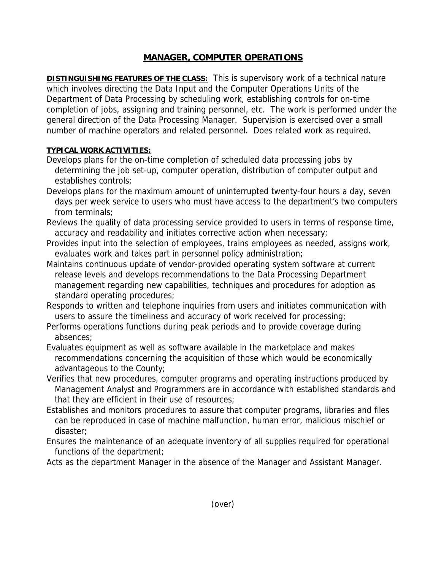## **MANAGER, COMPUTER OPERATIONS**

**DISTINGUISHING FEATURES OF THE CLASS:** This is supervisory work of a technical nature which involves directing the Data Input and the Computer Operations Units of the Department of Data Processing by scheduling work, establishing controls for on-time completion of jobs, assigning and training personnel, etc. The work is performed under the general direction of the Data Processing Manager. Supervision is exercised over a small number of machine operators and related personnel. Does related work as required.

## **TYPICAL WORK ACTIVITIES:**

- Develops plans for the on-time completion of scheduled data processing jobs by determining the job set-up, computer operation, distribution of computer output and establishes controls;
- Develops plans for the maximum amount of uninterrupted twenty-four hours a day, seven days per week service to users who must have access to the department's two computers from terminals;
- Reviews the quality of data processing service provided to users in terms of response time, accuracy and readability and initiates corrective action when necessary;
- Provides input into the selection of employees, trains employees as needed, assigns work, evaluates work and takes part in personnel policy administration;
- Maintains continuous update of vendor-provided operating system software at current release levels and develops recommendations to the Data Processing Department management regarding new capabilities, techniques and procedures for adoption as standard operating procedures;
- Responds to written and telephone inquiries from users and initiates communication with users to assure the timeliness and accuracy of work received for processing;
- Performs operations functions during peak periods and to provide coverage during absences;
- Evaluates equipment as well as software available in the marketplace and makes recommendations concerning the acquisition of those which would be economically advantageous to the County;
- Verifies that new procedures, computer programs and operating instructions produced by Management Analyst and Programmers are in accordance with established standards and that they are efficient in their use of resources;
- Establishes and monitors procedures to assure that computer programs, libraries and files can be reproduced in case of machine malfunction, human error, malicious mischief or disaster;
- Ensures the maintenance of an adequate inventory of all supplies required for operational functions of the department;
- Acts as the department Manager in the absence of the Manager and Assistant Manager.